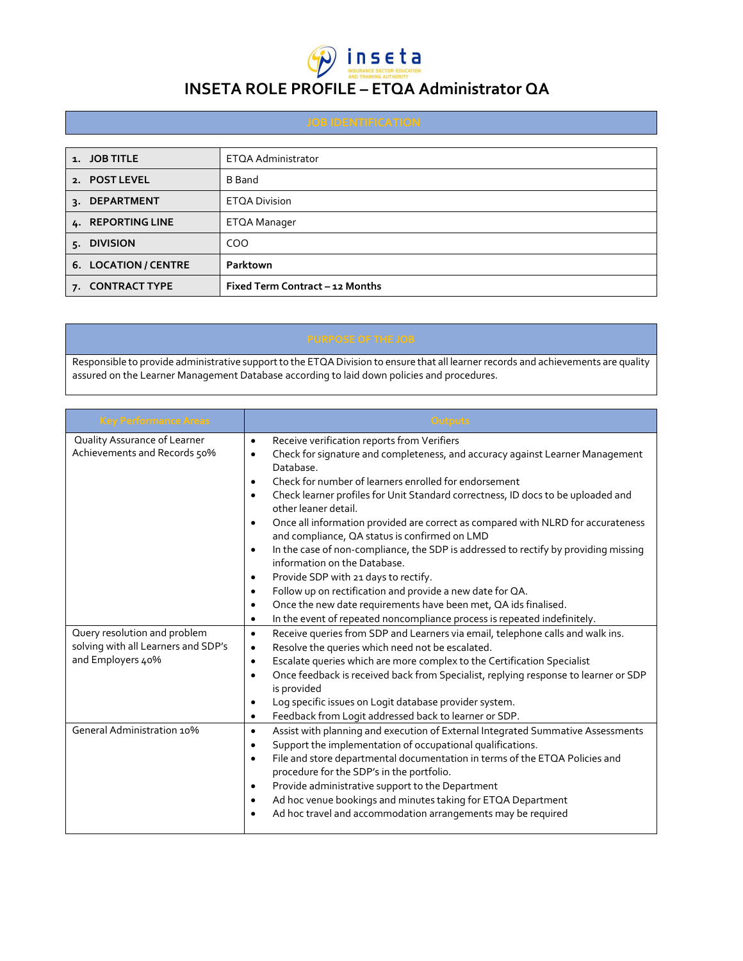

## **INSETA ROLE PROFILE – ETQA Administrator QA**

| 1. JOB TITLE         | ETQA Administrator              |
|----------------------|---------------------------------|
| 2. POST LEVEL        | <b>B</b> Band                   |
| 3. DEPARTMENT        | <b>ETQA Division</b>            |
| 4. REPORTING LINE    | ETQA Manager                    |
| 5. DIVISION          | COO                             |
| 6. LOCATION / CENTRE | Parktown                        |
| 7. CONTRACT TYPE     | Fixed Term Contract - 12 Months |

Responsible to provide administrative support to the ETQA Division to ensure that all learner records and achievements are quality assured on the Learner Management Database according to laid down policies and procedures.

| <b>Key Performance Areas</b>                                                             | Outputs                                                                                                                                                                                                                                                                                                                                                                                                                                                                                                                                                                                                                                                                                                                                                                                                                                                                                                                                                  |
|------------------------------------------------------------------------------------------|----------------------------------------------------------------------------------------------------------------------------------------------------------------------------------------------------------------------------------------------------------------------------------------------------------------------------------------------------------------------------------------------------------------------------------------------------------------------------------------------------------------------------------------------------------------------------------------------------------------------------------------------------------------------------------------------------------------------------------------------------------------------------------------------------------------------------------------------------------------------------------------------------------------------------------------------------------|
| Quality Assurance of Learner<br>Achievements and Records 50%                             | Receive verification reports from Verifiers<br>$\bullet$<br>Check for signature and completeness, and accuracy against Learner Management<br>$\bullet$<br>Database.<br>Check for number of learners enrolled for endorsement<br>$\bullet$<br>Check learner profiles for Unit Standard correctness, ID docs to be uploaded and<br>$\bullet$<br>other leaner detail.<br>Once all information provided are correct as compared with NLRD for accurateness<br>$\bullet$<br>and compliance, QA status is confirmed on LMD<br>In the case of non-compliance, the SDP is addressed to rectify by providing missing<br>$\bullet$<br>information on the Database.<br>Provide SDP with 21 days to rectify.<br>٠<br>Follow up on rectification and provide a new date for QA.<br>$\bullet$<br>Once the new date requirements have been met, QA ids finalised.<br>$\bullet$<br>In the event of repeated noncompliance process is repeated indefinitely.<br>$\bullet$ |
| Query resolution and problem<br>solving with all Learners and SDP's<br>and Employers 40% | Receive queries from SDP and Learners via email, telephone calls and walk ins.<br>$\bullet$<br>Resolve the queries which need not be escalated.<br>$\bullet$<br>Escalate queries which are more complex to the Certification Specialist<br>$\bullet$<br>Once feedback is received back from Specialist, replying response to learner or SDP<br>$\bullet$<br>is provided<br>Log specific issues on Logit database provider system.<br>٠<br>Feedback from Logit addressed back to learner or SDP.<br>$\bullet$                                                                                                                                                                                                                                                                                                                                                                                                                                             |
| General Administration 10%                                                               | Assist with planning and execution of External Integrated Summative Assessments<br>$\bullet$<br>Support the implementation of occupational qualifications.<br>٠<br>File and store departmental documentation in terms of the ETQA Policies and<br>$\bullet$<br>procedure for the SDP's in the portfolio.<br>Provide administrative support to the Department<br>٠<br>Ad hoc venue bookings and minutes taking for ETQA Department<br>٠<br>Ad hoc travel and accommodation arrangements may be required<br>٠                                                                                                                                                                                                                                                                                                                                                                                                                                              |